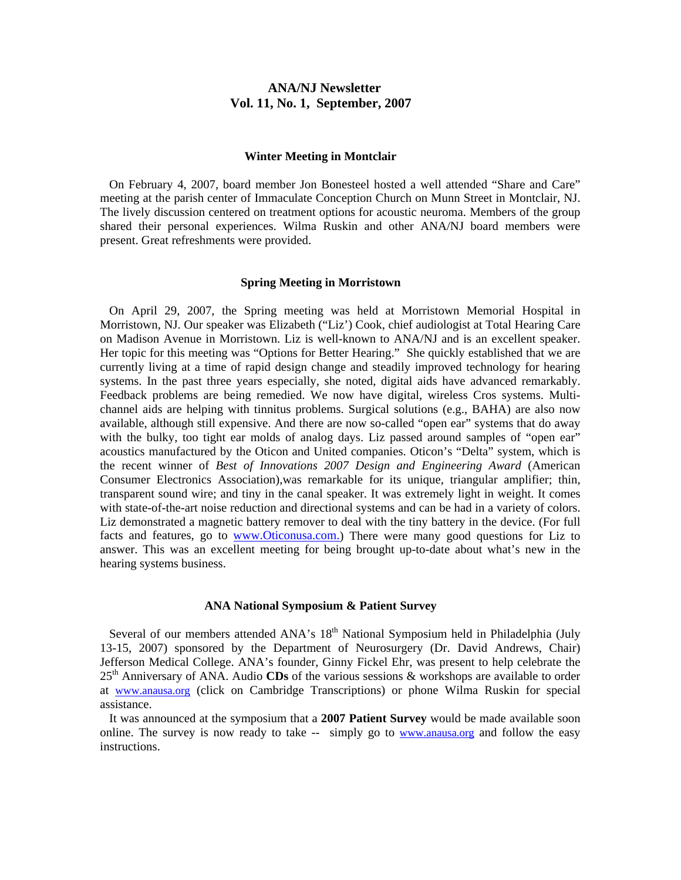## **ANA/NJ Newsletter Vol. 11, No. 1, September, 2007**

#### **Winter Meeting in Montclair**

 On February 4, 2007, board member Jon Bonesteel hosted a well attended "Share and Care" meeting at the parish center of Immaculate Conception Church on Munn Street in Montclair, NJ. The lively discussion centered on treatment options for acoustic neuroma. Members of the group shared their personal experiences. Wilma Ruskin and other ANA/NJ board members were present. Great refreshments were provided.

#### **Spring Meeting in Morristown**

 On April 29, 2007, the Spring meeting was held at Morristown Memorial Hospital in Morristown, NJ. Our speaker was Elizabeth ("Liz') Cook, chief audiologist at Total Hearing Care on Madison Avenue in Morristown. Liz is well-known to ANA/NJ and is an excellent speaker. Her topic for this meeting was "Options for Better Hearing." She quickly established that we are currently living at a time of rapid design change and steadily improved technology for hearing systems. In the past three years especially, she noted, digital aids have advanced remarkably. Feedback problems are being remedied. We now have digital, wireless Cros systems. Multichannel aids are helping with tinnitus problems. Surgical solutions (e.g., BAHA) are also now available, although still expensive. And there are now so-called "open ear" systems that do away with the bulky, too tight ear molds of analog days. Liz passed around samples of "open ear" acoustics manufactured by the Oticon and United companies. Oticon's "Delta" system, which is the recent winner of *Best of Innovations 2007 Design and Engineering Award* (American Consumer Electronics Association),was remarkable for its unique, triangular amplifier; thin, transparent sound wire; and tiny in the canal speaker. It was extremely light in weight. It comes with state-of-the-art noise reduction and directional systems and can be had in a variety of colors. Liz demonstrated a magnetic battery remover to deal with the tiny battery in the device. (For full facts and features, go to www.Oticonusa.com.) There were many good questions for Liz to answer. This was an excellent meeting for being brought up-to-date about what's new in the hearing systems business.

#### **ANA National Symposium & Patient Survey**

Several of our members attended ANA's 18<sup>th</sup> National Symposium held in Philadelphia (July 13-15, 2007) sponsored by the Department of Neurosurgery (Dr. David Andrews, Chair) Jefferson Medical College. ANA's founder, Ginny Fickel Ehr, was present to help celebrate the 25th Anniversary of ANA. Audio **CDs** of the various sessions & workshops are available to order at www.anausa.org (click on Cambridge Transcriptions) or phone Wilma Ruskin for special assistance.

 It was announced at the symposium that a **2007 Patient Survey** would be made available soon online. The survey is now ready to take -- simply go to www.anausa.org and follow the easy instructions.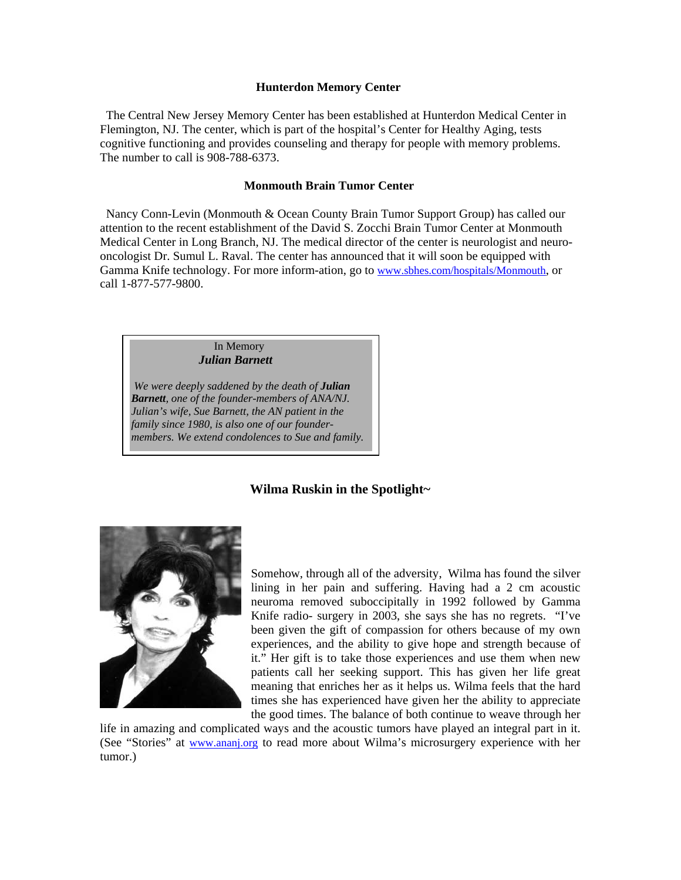#### **Hunterdon Memory Center**

The Central New Jersey Memory Center has been established at Hunterdon Medical Center in Flemington, NJ. The center, which is part of the hospital's Center for Healthy Aging, tests cognitive functioning and provides counseling and therapy for people with memory problems. The number to call is 908-788-6373.

#### **Monmouth Brain Tumor Center**

Nancy Conn-Levin (Monmouth & Ocean County Brain Tumor Support Group) has called our attention to the recent establishment of the David S. Zocchi Brain Tumor Center at Monmouth Medical Center in Long Branch, NJ. The medical director of the center is neurologist and neurooncologist Dr. Sumul L. Raval. The center has announced that it will soon be equipped with Gamma Knife technology. For more inform-ation, go to www.sbhes.com/hospitals/Monmouth, or call 1-877-577-9800.

> In Memory *Julian Barnett*

 *We were deeply saddened by the death of Julian Barnett, one of the founder-members of ANA/NJ. Julian's wife, Sue Barnett, the AN patient in the family since 1980, is also one of our foundermembers. We extend condolences to Sue and family.* 

## **Wilma Ruskin in the Spotlight~**



Somehow, through all of the adversity, Wilma has found the silver lining in her pain and suffering. Having had a 2 cm acoustic neuroma removed suboccipitally in 1992 followed by Gamma Knife radio- surgery in 2003, she says she has no regrets. "I've been given the gift of compassion for others because of my own experiences, and the ability to give hope and strength because of it." Her gift is to take those experiences and use them when new patients call her seeking support. This has given her life great meaning that enriches her as it helps us. Wilma feels that the hard times she has experienced have given her the ability to appreciate the good times. The balance of both continue to weave through her

life in amazing and complicated ways and the acoustic tumors have played an integral part in it. (See "Stories" at www.ananj.org to read more about Wilma's microsurgery experience with her tumor.)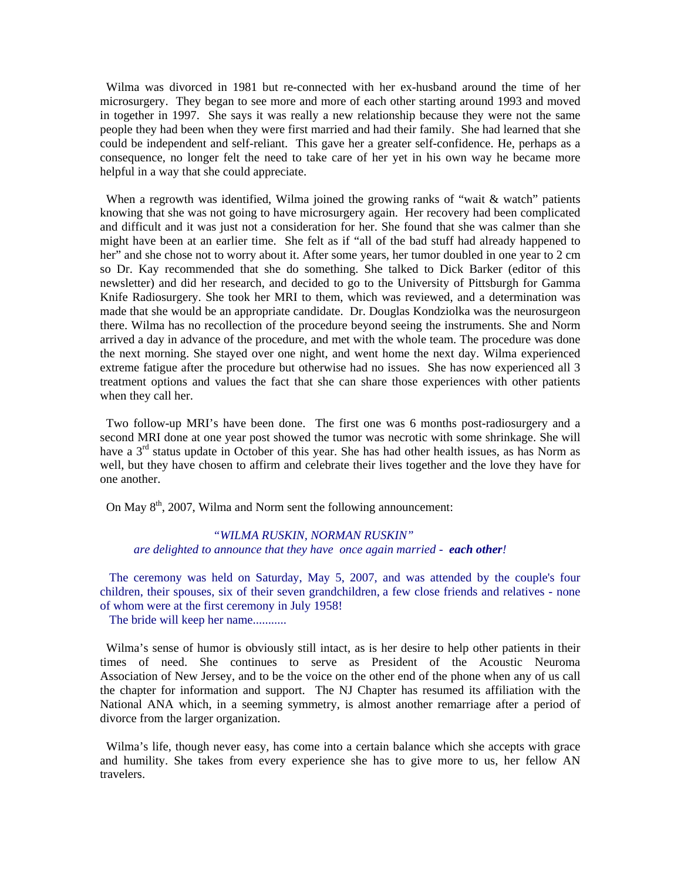Wilma was divorced in 1981 but re-connected with her ex-husband around the time of her microsurgery. They began to see more and more of each other starting around 1993 and moved in together in 1997. She says it was really a new relationship because they were not the same people they had been when they were first married and had their family. She had learned that she could be independent and self-reliant. This gave her a greater self-confidence. He, perhaps as a consequence, no longer felt the need to take care of her yet in his own way he became more helpful in a way that she could appreciate.

When a regrowth was identified, Wilma joined the growing ranks of "wait & watch" patients knowing that she was not going to have microsurgery again. Her recovery had been complicated and difficult and it was just not a consideration for her. She found that she was calmer than she might have been at an earlier time. She felt as if "all of the bad stuff had already happened to her" and she chose not to worry about it. After some years, her tumor doubled in one year to 2 cm so Dr. Kay recommended that she do something. She talked to Dick Barker (editor of this newsletter) and did her research, and decided to go to the University of Pittsburgh for Gamma Knife Radiosurgery. She took her MRI to them, which was reviewed, and a determination was made that she would be an appropriate candidate. Dr. Douglas Kondziolka was the neurosurgeon there. Wilma has no recollection of the procedure beyond seeing the instruments. She and Norm arrived a day in advance of the procedure, and met with the whole team. The procedure was done the next morning. She stayed over one night, and went home the next day. Wilma experienced extreme fatigue after the procedure but otherwise had no issues. She has now experienced all 3 treatment options and values the fact that she can share those experiences with other patients when they call her.

 Two follow-up MRI's have been done. The first one was 6 months post-radiosurgery and a second MRI done at one year post showed the tumor was necrotic with some shrinkage. She will have a  $3<sup>rd</sup>$  status update in October of this year. She has had other health issues, as has Norm as well, but they have chosen to affirm and celebrate their lives together and the love they have for one another.

On May  $8<sup>th</sup>$ , 2007, Wilma and Norm sent the following announcement:

## *"WILMA RUSKIN, NORMAN RUSKIN" are delighted to announce that they have once again married - each other!*

 The ceremony was held on Saturday, May 5, 2007, and was attended by the couple's four children, their spouses, six of their seven grandchildren, a few close friends and relatives - none of whom were at the first ceremony in July 1958!

The bride will keep her name...........

 Wilma's sense of humor is obviously still intact, as is her desire to help other patients in their times of need. She continues to serve as President of the Acoustic Neuroma Association of New Jersey, and to be the voice on the other end of the phone when any of us call the chapter for information and support. The NJ Chapter has resumed its affiliation with the National ANA which, in a seeming symmetry, is almost another remarriage after a period of divorce from the larger organization.

 Wilma's life, though never easy, has come into a certain balance which she accepts with grace and humility. She takes from every experience she has to give more to us, her fellow AN travelers.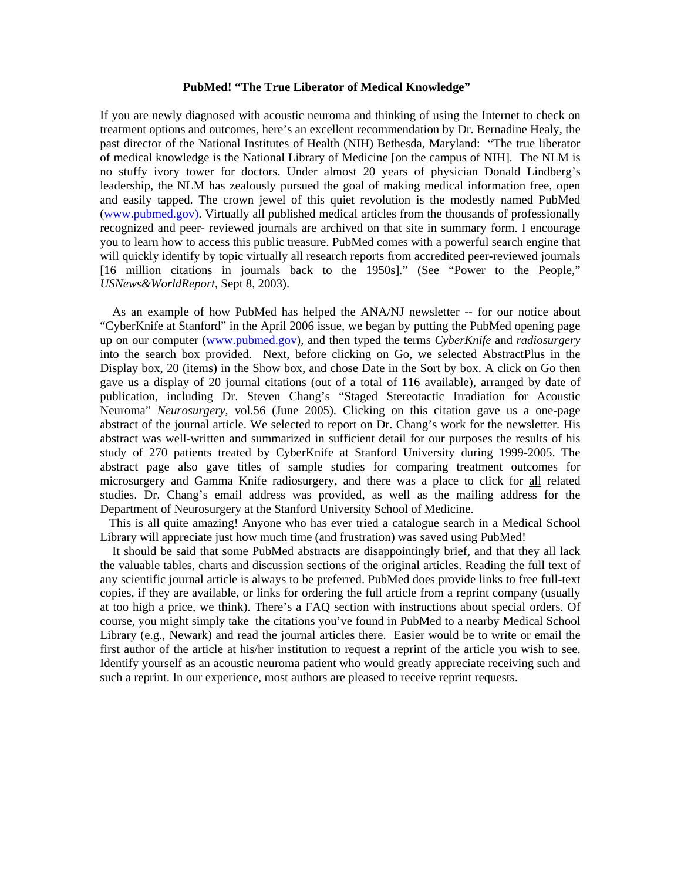#### **PubMed! "The True Liberator of Medical Knowledge"**

If you are newly diagnosed with acoustic neuroma and thinking of using the Internet to check on treatment options and outcomes, here's an excellent recommendation by Dr. Bernadine Healy, the past director of the National Institutes of Health (NIH) Bethesda, Maryland: "The true liberator of medical knowledge is the National Library of Medicine [on the campus of NIH]. The NLM is no stuffy ivory tower for doctors. Under almost 20 years of physician Donald Lindberg's leadership, the NLM has zealously pursued the goal of making medical information free, open and easily tapped. The crown jewel of this quiet revolution is the modestly named PubMed (www.pubmed.gov). Virtually all published medical articles from the thousands of professionally recognized and peer- reviewed journals are archived on that site in summary form. I encourage you to learn how to access this public treasure. PubMed comes with a powerful search engine that will quickly identify by topic virtually all research reports from accredited peer-reviewed journals [16 million citations in journals back to the 1950s]." (See "Power to the People," *USNews&WorldReport*, Sept 8, 2003).

 As an example of how PubMed has helped the ANA/NJ newsletter -- for our notice about "CyberKnife at Stanford" in the April 2006 issue, we began by putting the PubMed opening page up on our computer (www.pubmed.gov), and then typed the terms *CyberKnife* and *radiosurgery* into the search box provided. Next, before clicking on Go, we selected AbstractPlus in the Display box, 20 (items) in the Show box, and chose Date in the Sort by box. A click on Go then gave us a display of 20 journal citations (out of a total of 116 available), arranged by date of publication, including Dr. Steven Chang's "Staged Stereotactic Irradiation for Acoustic Neuroma" *Neurosurgery*, vol.56 (June 2005). Clicking on this citation gave us a one-page abstract of the journal article. We selected to report on Dr. Chang's work for the newsletter. His abstract was well-written and summarized in sufficient detail for our purposes the results of his study of 270 patients treated by CyberKnife at Stanford University during 1999-2005. The abstract page also gave titles of sample studies for comparing treatment outcomes for microsurgery and Gamma Knife radiosurgery, and there was a place to click for all related studies. Dr. Chang's email address was provided, as well as the mailing address for the Department of Neurosurgery at the Stanford University School of Medicine.

 This is all quite amazing! Anyone who has ever tried a catalogue search in a Medical School Library will appreciate just how much time (and frustration) was saved using PubMed!

 It should be said that some PubMed abstracts are disappointingly brief, and that they all lack the valuable tables, charts and discussion sections of the original articles. Reading the full text of any scientific journal article is always to be preferred. PubMed does provide links to free full-text copies, if they are available, or links for ordering the full article from a reprint company (usually at too high a price, we think). There's a FAQ section with instructions about special orders. Of course, you might simply take the citations you've found in PubMed to a nearby Medical School Library (e.g., Newark) and read the journal articles there. Easier would be to write or email the first author of the article at his/her institution to request a reprint of the article you wish to see. Identify yourself as an acoustic neuroma patient who would greatly appreciate receiving such and such a reprint. In our experience, most authors are pleased to receive reprint requests.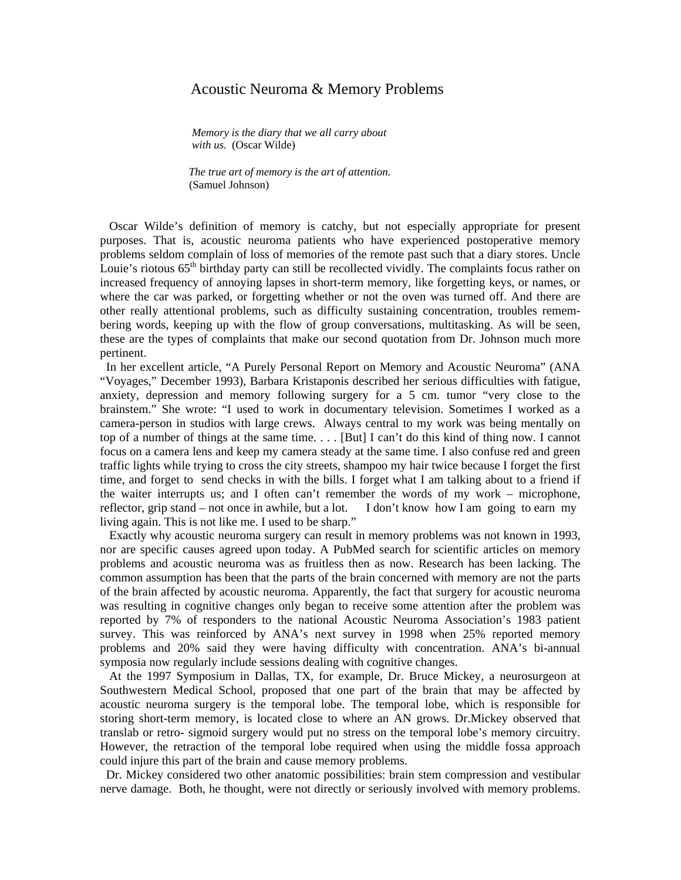## Acoustic Neuroma & Memory Problems

*Memory is the diary that we all carry about with us.* (Oscar Wilde)

 *The true art of memory is the art of attention.* (Samuel Johnson)

 Oscar Wilde's definition of memory is catchy, but not especially appropriate for present purposes. That is, acoustic neuroma patients who have experienced postoperative memory problems seldom complain of loss of memories of the remote past such that a diary stores. Uncle Louie's riotous  $65<sup>th</sup>$  birthday party can still be recollected vividly. The complaints focus rather on increased frequency of annoying lapses in short-term memory, like forgetting keys, or names, or where the car was parked, or forgetting whether or not the oven was turned off. And there are other really attentional problems, such as difficulty sustaining concentration, troubles remembering words, keeping up with the flow of group conversations, multitasking. As will be seen, these are the types of complaints that make our second quotation from Dr. Johnson much more pertinent.

 In her excellent article, "A Purely Personal Report on Memory and Acoustic Neuroma" (ANA "Voyages," December 1993), Barbara Kristaponis described her serious difficulties with fatigue, anxiety, depression and memory following surgery for a 5 cm. tumor "very close to the brainstem." She wrote: "I used to work in documentary television. Sometimes I worked as a camera-person in studios with large crews. Always central to my work was being mentally on top of a number of things at the same time. . . . [But] I can't do this kind of thing now. I cannot focus on a camera lens and keep my camera steady at the same time. I also confuse red and green traffic lights while trying to cross the city streets, shampoo my hair twice because I forget the first time, and forget to send checks in with the bills. I forget what I am talking about to a friend if the waiter interrupts us; and I often can't remember the words of my work – microphone, reflector, grip stand – not once in awhile, but a lot. I don't know how I am going to earn my living again. This is not like me. I used to be sharp."

 Exactly why acoustic neuroma surgery can result in memory problems was not known in 1993, nor are specific causes agreed upon today. A PubMed search for scientific articles on memory problems and acoustic neuroma was as fruitless then as now. Research has been lacking. The common assumption has been that the parts of the brain concerned with memory are not the parts of the brain affected by acoustic neuroma. Apparently, the fact that surgery for acoustic neuroma was resulting in cognitive changes only began to receive some attention after the problem was reported by 7% of responders to the national Acoustic Neuroma Association's 1983 patient survey. This was reinforced by ANA's next survey in 1998 when 25% reported memory problems and 20% said they were having difficulty with concentration. ANA's bi-annual symposia now regularly include sessions dealing with cognitive changes.

 At the 1997 Symposium in Dallas, TX, for example, Dr. Bruce Mickey, a neurosurgeon at Southwestern Medical School, proposed that one part of the brain that may be affected by acoustic neuroma surgery is the temporal lobe. The temporal lobe, which is responsible for storing short-term memory, is located close to where an AN grows. Dr.Mickey observed that translab or retro- sigmoid surgery would put no stress on the temporal lobe's memory circuitry. However, the retraction of the temporal lobe required when using the middle fossa approach could injure this part of the brain and cause memory problems.

 Dr. Mickey considered two other anatomic possibilities: brain stem compression and vestibular nerve damage. Both, he thought, were not directly or seriously involved with memory problems.